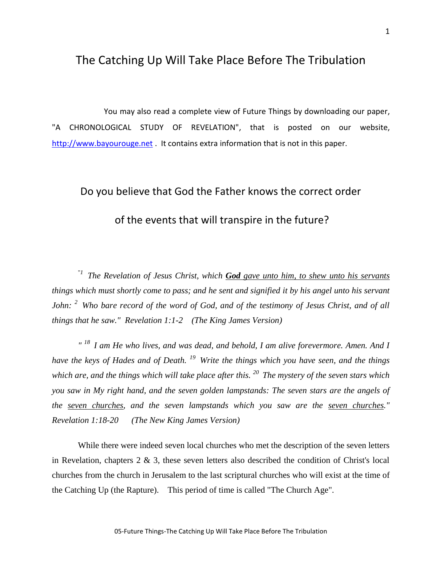## The Catching Up Will Take Place Before The Tribulation

You may also read a complete view of Future Things by downloading our paper, "A CHRONOLOGICAL STUDY OF REVELATION", that is posted on our website, [http://www.bayourouge.net](http://www.bayourouge.net/) . It contains extra information that is not in this paper.

## Do you believe that God the Father knows the correct order of the events that will transpire in the future?

"*<sup>1</sup>The Revelation of Jesus Christ, which God gave unto him, to shew unto his servants things which must shortly come to pass; and he sent and signified it by his angel unto his servant John: <sup>2</sup>Who bare record of the word of God, and of the testimony of Jesus Christ, and of all things that he saw." Revelation 1:1-2 (The King James Version)*

*" <sup>18</sup>I am He who lives, and was dead, and behold, I am alive forevermore. Amen. And I have the keys of Hades and of Death. <sup>19</sup>Write the things which you have seen, and the things which are, and the things which will take place after this. <sup>20</sup>The mystery of the seven stars which you saw in My right hand, and the seven golden lampstands: The seven stars are the angels of the seven churches, and the seven lampstands which you saw are the seven churches." Revelation 1:18-20 (The New King James Version)*

While there were indeed seven local churches who met the description of the seven letters in Revelation, chapters 2 & 3, these seven letters also described the condition of Christ's local churches from the church in Jerusalem to the last scriptural churches who will exist at the time of the Catching Up (the Rapture). This period of time is called "The Church Age".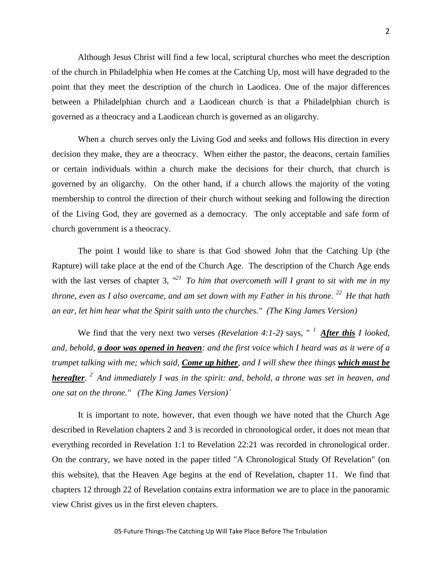Although Jesus Christ will find a few local, scriptural churches who meet the description of the church in Philadelphia when He comes at the Catching Up, most will have degraded to the point that they meet the description of the church in Laodicea. One of the major differences between a Philadelphian church and a Laodicean church is that a Philadelphian church is governed as a theocracy and a Laodicean church is governed as an oligarchy.

When a church serves only the Living God and seeks and follows His direction in every decision they make, they are a theocracy. When either the pastor, the deacons, certain families or certain individuals within a church make the decisions for their church, that church is governed by an oligarchy. On the other hand, if a church allows the majority of the voting membership to control the direction of their church without seeking and following the direction of the Living God, they are governed as a democracy. The only acceptable and safe form of church government is a theocracy.

The point I would like to share is that God showed John that the Catching Up (the Rapture) will take place at the end of the Church Age. The description of the Church Age ends with the last verses of chapter 3,  $T^{21}$  To him that overcometh will I grant to sit with me in my *throne, even as I also overcame, and am set down with my Father in his throne. <sup>22</sup>He that hath an ear, let him hear what the Spirit saith unto the churches." (The King James Version)*

We find that the very next two verses *(Revelation 4:1-2)* says, " *<sup>1</sup>After this I looked, and, behold, a door was opened in heaven: and the first voice which I heard was as it were of a trumpet talking with me; which said, Come up hither, and I will shew thee things which must be hereafter. <sup>2</sup>And immediately I was in the spirit: and, behold, a throne was set in heaven, and one sat on the throne." (The King James Version)`*

It is important to note, however, that even though we have noted that the Church Age described in Revelation chapters 2 and 3 is recorded in chronological order, it does not mean that everything recorded in Revelation 1:1 to Revelation 22:21 was recorded in chronological order. On the contrary, we have noted in the paper titled "A Chronological Study Of Revelation" (on this website), that the Heaven Age begins at the end of Revelation, chapter 11. We find that chapters 12 through 22 of Revelation contains extra information we are to place in the panoramic view Christ gives us in the first eleven chapters.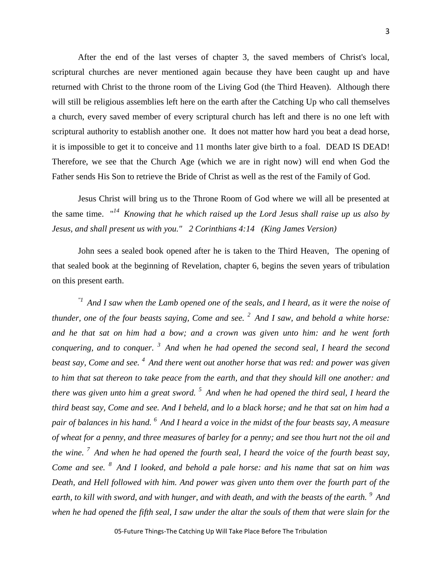After the end of the last verses of chapter 3, the saved members of Christ's local, scriptural churches are never mentioned again because they have been caught up and have returned with Christ to the throne room of the Living God (the Third Heaven). Although there will still be religious assemblies left here on the earth after the Catching Up who call themselves a church, every saved member of every scriptural church has left and there is no one left with scriptural authority to establish another one. It does not matter how hard you beat a dead horse, it is impossible to get it to conceive and 11 months later give birth to a foal. DEAD IS DEAD! Therefore, we see that the Church Age (which we are in right now) will end when God the Father sends His Son to retrieve the Bride of Christ as well as the rest of the Family of God.

Jesus Christ will bring us to the Throne Room of God where we will all be presented at the same time. " *<sup>14</sup>Knowing that he which raised up the Lord Jesus shall raise up us also by Jesus, and shall present us with you." 2 Corinthians 4:14 (King James Version)*

John sees a sealed book opened after he is taken to the Third Heaven, The opening of that sealed book at the beginning of Revelation, chapter 6, begins the seven years of tribulation on this present earth.

*"1 And I saw when the Lamb opened one of the seals, and I heard, as it were the noise of thunder, one of the four beasts saying, Come and see. <sup>2</sup>And I saw, and behold a white horse: and he that sat on him had a bow; and a crown was given unto him: and he went forth conquering, and to conquer. <sup>3</sup>And when he had opened the second seal, I heard the second beast say, Come and see. <sup>4</sup>And there went out another horse that was red: and power was given to him that sat thereon to take peace from the earth, and that they should kill one another: and there was given unto him a great sword. <sup>5</sup>And when he had opened the third seal, I heard the third beast say, Come and see. And I beheld, and lo a black horse; and he that sat on him had a pair of balances in his hand. <sup>6</sup>And I heard a voice in the midst of the four beasts say, A measure of wheat for a penny, and three measures of barley for a penny; and see thou hurt not the oil and the wine. <sup>7</sup>And when he had opened the fourth seal, I heard the voice of the fourth beast say, Come and see. <sup>8</sup>And I looked, and behold a pale horse: and his name that sat on him was Death, and Hell followed with him. And power was given unto them over the fourth part of the earth, to kill with sword, and with hunger, and with death, and with the beasts of the earth. <sup>9</sup>And when he had opened the fifth seal, I saw under the altar the souls of them that were slain for the*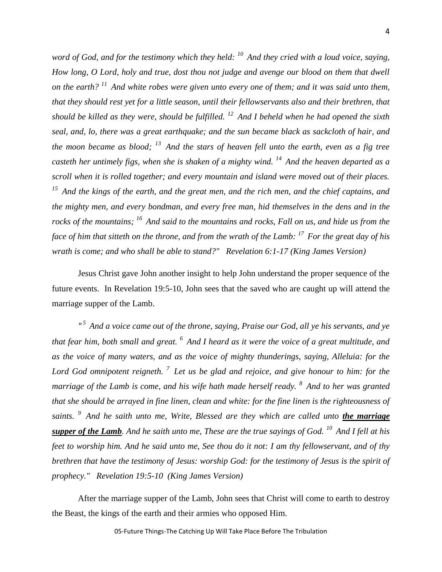*word of God, and for the testimony which they held: <sup>10</sup>And they cried with a loud voice, saying, How long, O Lord, holy and true, dost thou not judge and avenge our blood on them that dwell on the earth? <sup>11</sup>And white robes were given unto every one of them; and it was said unto them, that they should rest yet for a little season, until their fellowservants also and their brethren, that should be killed as they were, should be fulfilled. <sup>12</sup>And I beheld when he had opened the sixth seal, and, lo, there was a great earthquake; and the sun became black as sackcloth of hair, and the moon became as blood; <sup>13</sup>And the stars of heaven fell unto the earth, even as a fig tree casteth her untimely figs, when she is shaken of a mighty wind. <sup>14</sup>And the heaven departed as a scroll when it is rolled together; and every mountain and island were moved out of their places. <sup>15</sup>And the kings of the earth, and the great men, and the rich men, and the chief captains, and the mighty men, and every bondman, and every free man, hid themselves in the dens and in the rocks of the mountains; <sup>16</sup>And said to the mountains and rocks, Fall on us, and hide us from the face of him that sitteth on the throne, and from the wrath of the Lamb: <sup>17</sup>For the great day of his wrath is come; and who shall be able to stand?" Revelation 6:1-17 (King James Version)*

Jesus Christ gave John another insight to help John understand the proper sequence of the future events. In Revelation 19:5-10, John sees that the saved who are caught up will attend the marriage supper of the Lamb.

*" <sup>5</sup>And a voice came out of the throne, saying, Praise our God, all ye his servants, and ye that fear him, both small and great. <sup>6</sup>And I heard as it were the voice of a great multitude, and as the voice of many waters, and as the voice of mighty thunderings, saying, Alleluia: for the Lord God omnipotent reigneth. <sup>7</sup>Let us be glad and rejoice, and give honour to him: for the marriage of the Lamb is come, and his wife hath made herself ready. <sup>8</sup>And to her was granted that she should be arrayed in fine linen, clean and white: for the fine linen is the righteousness of saints. <sup>9</sup>And he saith unto me, Write, Blessed are they which are called unto the marriage supper of the Lamb. And he saith unto me, These are the true sayings of God. <sup>10</sup>And I fell at his feet to worship him. And he said unto me, See thou do it not: I am thy fellowservant, and of thy brethren that have the testimony of Jesus: worship God: for the testimony of Jesus is the spirit of prophecy." Revelation 19:5-10 (King James Version)*

After the marriage supper of the Lamb, John sees that Christ will come to earth to destroy the Beast, the kings of the earth and their armies who opposed Him.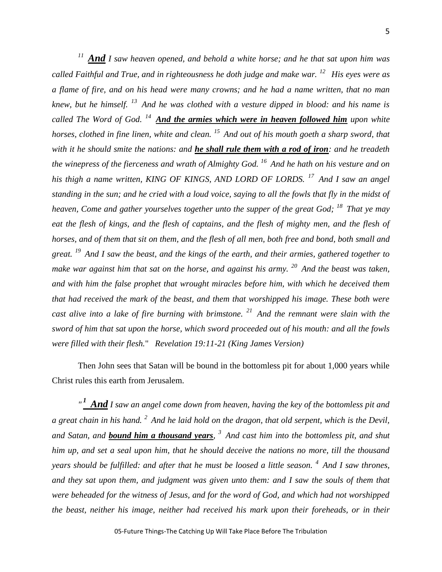*<sup>11</sup>And I saw heaven opened, and behold a white horse; and he that sat upon him was called Faithful and True, and in righteousness he doth judge and make war. <sup>12</sup>His eyes were as a flame of fire, and on his head were many crowns; and he had a name written, that no man knew, but he himself. <sup>13</sup>And he was clothed with a vesture dipped in blood: and his name is called The Word of God. <sup>14</sup>And the armies which were in heaven followed him upon white horses, clothed in fine linen, white and clean. <sup>15</sup>And out of his mouth goeth a sharp sword, that with it he should smite the nations: and he shall rule them with a rod of iron: and he treadeth the winepress of the fierceness and wrath of Almighty God. <sup>16</sup>And he hath on his vesture and on his thigh a name written, KING OF KINGS, AND LORD OF LORDS. <sup>17</sup>And I saw an angel standing in the sun; and he cried with a loud voice, saying to all the fowls that fly in the midst of heaven, Come and gather yourselves together unto the supper of the great God; <sup>18</sup>That ye may eat the flesh of kings, and the flesh of captains, and the flesh of mighty men, and the flesh of horses, and of them that sit on them, and the flesh of all men, both free and bond, both small and great. <sup>19</sup>And I saw the beast, and the kings of the earth, and their armies, gathered together to make war against him that sat on the horse, and against his army. <sup>20</sup>And the beast was taken, and with him the false prophet that wrought miracles before him, with which he deceived them that had received the mark of the beast, and them that worshipped his image. These both were cast alive into a lake of fire burning with brimstone. <sup>21</sup>And the remnant were slain with the sword of him that sat upon the horse, which sword proceeded out of his mouth: and all the fowls were filled with their flesh.*" *Revelation 19:11-21 (King James Version)*

Then John sees that Satan will be bound in the bottomless pit for about 1,000 years while Christ rules this earth from Jerusalem.

*" <sup>1</sup>And I saw an angel come down from heaven, having the key of the bottomless pit and a great chain in his hand. <sup>2</sup>And he laid hold on the dragon, that old serpent, which is the Devil, and Satan, and bound him a thousand years, <sup>3</sup>And cast him into the bottomless pit, and shut him up, and set a seal upon him, that he should deceive the nations no more, till the thousand years should be fulfilled: and after that he must be loosed a little season. <sup>4</sup>And I saw thrones, and they sat upon them, and judgment was given unto them: and I saw the souls of them that were beheaded for the witness of Jesus, and for the word of God, and which had not worshipped the beast, neither his image, neither had received his mark upon their foreheads, or in their*